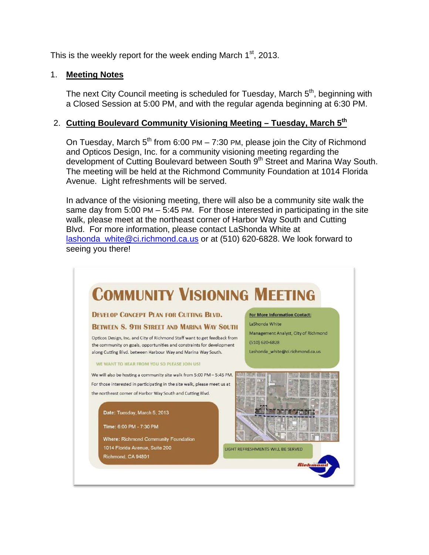This is the weekly report for the week ending March  $1<sup>st</sup>$ , 2013.

### 1. **Meeting Notes**

The next City Council meeting is scheduled for Tuesday, March 5<sup>th</sup>, beginning with a Closed Session at 5:00 PM, and with the regular agenda beginning at 6:30 PM.

## 2. **Cutting Boulevard Community Visioning Meeting – Tuesday, March 5th**

On Tuesday, March  $5<sup>th</sup>$  from 6:00 PM – 7:30 PM, please join the City of Richmond and Opticos Design, Inc. for a community visioning meeting regarding the development of Cutting Boulevard between South 9<sup>th</sup> Street and Marina Way South. The meeting will be held at the Richmond Community Foundation at 1014 Florida Avenue. Light refreshments will be served.

In advance of the visioning meeting, there will also be a community site walk the same day from 5:00 PM – 5:45 PM. For those interested in participating in the site walk, please meet at the northeast corner of Harbor Way South and Cutting Blvd. For more information, please contact LaShonda White at lashonda\_white@ci.richmond.ca.us or at (510) 620-6828. We look forward to seeing you there!

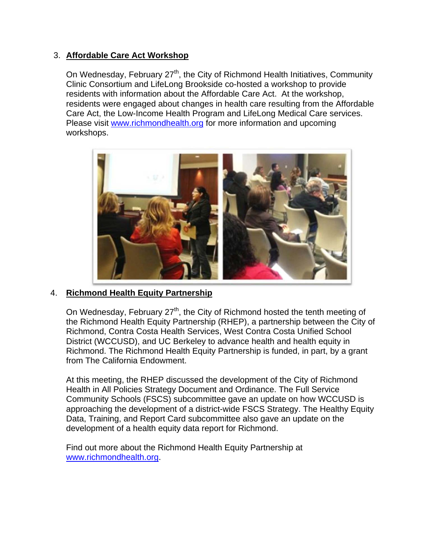## 3. **Affordable Care Act Workshop**

On Wednesday, February 27<sup>th</sup>, the City of Richmond Health Initiatives, Community Clinic Consortium and LifeLong Brookside co-hosted a workshop to provide residents with information about the Affordable Care Act. At the workshop, residents were engaged about changes in health care resulting from the Affordable Care Act, the Low-Income Health Program and LifeLong Medical Care services. Please visit www.richmondhealth.org for more information and upcoming workshops.



#### 4. **Richmond Health Equity Partnership**

On Wednesday, February 27<sup>th</sup>, the City of Richmond hosted the tenth meeting of the Richmond Health Equity Partnership (RHEP), a partnership between the City of Richmond, Contra Costa Health Services, West Contra Costa Unified School District (WCCUSD), and UC Berkeley to advance health and health equity in Richmond. The Richmond Health Equity Partnership is funded, in part, by a grant from The California Endowment.

At this meeting, the RHEP discussed the development of the City of Richmond Health in All Policies Strategy Document and Ordinance. The Full Service Community Schools (FSCS) subcommittee gave an update on how WCCUSD is approaching the development of a district-wide FSCS Strategy. The Healthy Equity Data, Training, and Report Card subcommittee also gave an update on the development of a health equity data report for Richmond.

Find out more about the Richmond Health Equity Partnership at www.richmondhealth.org.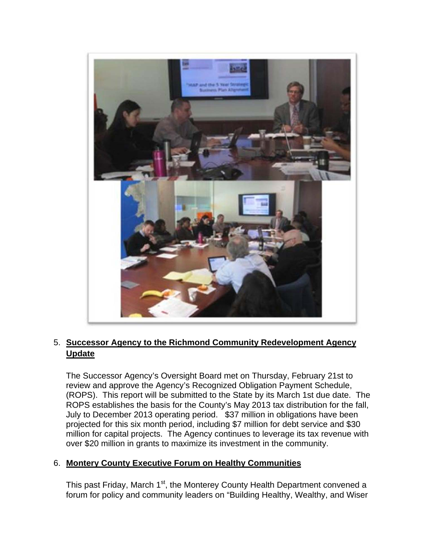

## 5. **Successor Agency to the Richmond Community Redevelopment Agency Update**

The Successor Agency's Oversight Board met on Thursday, February 21st to review and approve the Agency's Recognized Obligation Payment Schedule, (ROPS). This report will be submitted to the State by its March 1st due date. The ROPS establishes the basis for the County's May 2013 tax distribution for the fall, July to December 2013 operating period. \$37 million in obligations have been projected for this six month period, including \$7 million for debt service and \$30 million for capital projects. The Agency continues to leverage its tax revenue with over \$20 million in grants to maximize its investment in the community.

## 6. **Montery County Executive Forum on Healthy Communities**

This past Friday, March 1<sup>st</sup>, the Monterey County Health Department convened a forum for policy and community leaders on "Building Healthy, Wealthy, and Wiser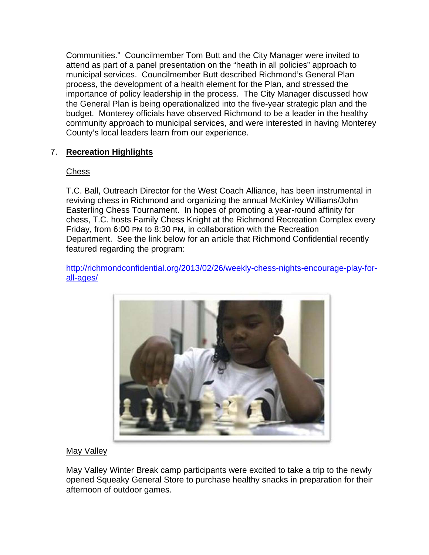Communities." Councilmember Tom Butt and the City Manager were invited to attend as part of a panel presentation on the "heath in all policies" approach to municipal services. Councilmember Butt described Richmond's General Plan process, the development of a health element for the Plan, and stressed the importance of policy leadership in the process. The City Manager discussed how the General Plan is being operationalized into the five-year strategic plan and the budget. Monterey officials have observed Richmond to be a leader in the healthy community approach to municipal services, and were interested in having Monterey County's local leaders learn from our experience.

## 7. **Recreation Highlights**

### Chess

T.C. Ball, Outreach Director for the West Coach Alliance, has been instrumental in reviving chess in Richmond and organizing the annual McKinley Williams/John Easterling Chess Tournament. In hopes of promoting a year-round affinity for chess, T.C. hosts Family Chess Knight at the Richmond Recreation Complex every Friday, from 6:00 PM to 8:30 PM, in collaboration with the Recreation Department. See the link below for an article that Richmond Confidential recently featured regarding the program:

http://richmondconfidential.org/2013/02/26/weekly-chess-nights-encourage-play-forall-ages/



#### May Valley

May Valley Winter Break camp participants were excited to take a trip to the newly opened Squeaky General Store to purchase healthy snacks in preparation for their afternoon of outdoor games.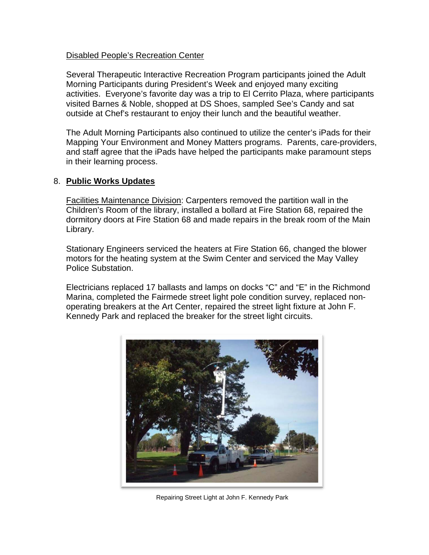#### Disabled People's Recreation Center

Several Therapeutic Interactive Recreation Program participants joined the Adult Morning Participants during President's Week and enjoyed many exciting activities. Everyone's favorite day was a trip to El Cerrito Plaza, where participants visited Barnes & Noble, shopped at DS Shoes, sampled See's Candy and sat outside at Chef's restaurant to enjoy their lunch and the beautiful weather.

The Adult Morning Participants also continued to utilize the center's iPads for their Mapping Your Environment and Money Matters programs. Parents, care-providers, and staff agree that the iPads have helped the participants make paramount steps in their learning process.

### 8. **Public Works Updates**

Facilities Maintenance Division: Carpenters removed the partition wall in the Children's Room of the library, installed a bollard at Fire Station 68, repaired the dormitory doors at Fire Station 68 and made repairs in the break room of the Main Library.

Stationary Engineers serviced the heaters at Fire Station 66, changed the blower motors for the heating system at the Swim Center and serviced the May Valley Police Substation.

Electricians replaced 17 ballasts and lamps on docks "C" and "E" in the Richmond Marina, completed the Fairmede street light pole condition survey, replaced nonoperating breakers at the Art Center, repaired the street light fixture at John F. Kennedy Park and replaced the breaker for the street light circuits.



Repairing Street Light at John F. Kennedy Park